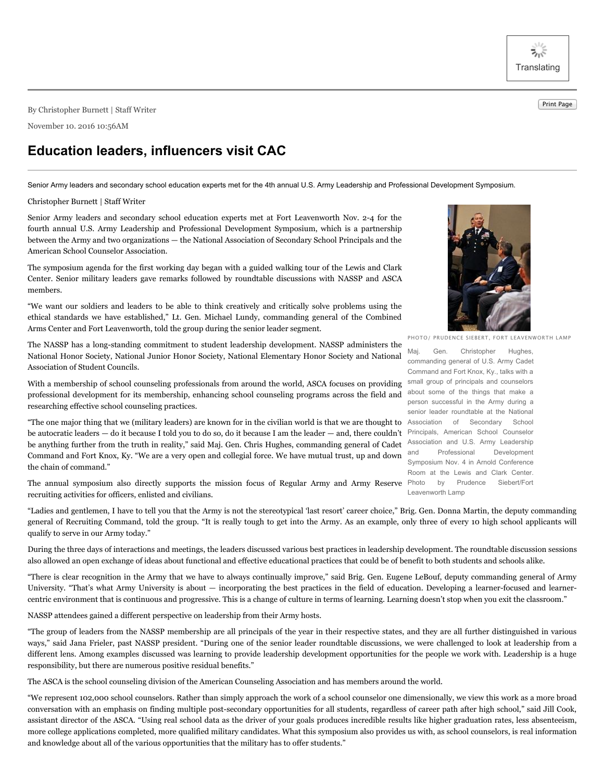ぶぶ **Translating** 

Print Page By Christopher Burnett <sup>|</sup> Staff Writer

November 10. 2016 10:56AM

## **Education leaders, influencers visit CAC**

Senior Army leaders and secondary school education experts met for the 4th annual U.S. Army Leadership and Professional Development Symposium.

## Christopher Burnett | Staff Writer

Senior Army leaders and secondary school education experts met at Fort Leavenworth Nov. 2-4 for the fourth annual U.S. Army Leadership and Professional Development Symposium, which is a partnership between the Army and two organizations — the National Association of Secondary School Principals and the American School Counselor Association.

The symposium agenda for the first working day began with a guided walking tour of the Lewis and Clark Center. Senior military leaders gave remarks followed by roundtable discussions with NASSP and ASCA members.

"We want our soldiers and leaders to be able to think creatively and critically solve problems using the ethical standards we have established," Lt. Gen. Michael Lundy, commanding general of the Combined Arms Center and Fort Leavenworth, told the group during the senior leader segment.

The NASSP has a long-standing commitment to student leadership development. NASSP administers the National Honor Society, National Junior Honor Society, National Elementary Honor Society and National Association of Student Councils.

With a membership of school counseling professionals from around the world, ASCA focuses on providing professional development for its membership, enhancing school counseling programs across the field and researching effective school counseling practices.

"The one major thing that we (military leaders) are known for in the civilian world is that we are thought to Association of Secondary School be autocratic leaders — do it because I told you to do so, do it because I am the leader — and, there couldn't be anything further from the truth in reality," said Maj. Gen. Chris Hughes, commanding general of Cadet Command and Fort Knox, Ky. "We are a very open and collegial force. We have mutual trust, up and down the chain of command."

The annual symposium also directly supports the mission focus of Regular Army and Army Reserve Photo by Prudence Siebert/Fort recruiting activities for officers, enlisted and civilians.

"Ladies and gentlemen, I have to tell you that the Army is not the stereotypical 'last resort' career choice," Brig. Gen. Donna Martin, the deputy commanding general of Recruiting Command, told the group. "It is really tough to get into the Army. As an example, only three of every 10 high school applicants will qualify to serve in our Army today."

During the three days of interactions and meetings, the leaders discussed various best practices in leadership development. The roundtable discussion sessions also allowed an open exchange of ideas about functional and effective educational practices that could be of benefit to both students and schools alike.

"There is clear recognition in the Army that we have to always continually improve," said Brig. Gen. Eugene LeBouf, deputy commanding general of Army University. "That's what Army University is about — incorporating the best practices in the field of education. Developing a learner-focused and learnercentric environment that is continuous and progressive. This is a change of culture in terms of learning. Learning doesn't stop when you exit the classroom."

NASSP attendees gained a different perspective on leadership from their Army hosts.

"The group of leaders from the NASSP membership are all principals of the year in their respective states, and they are all further distinguished in various ways," said Jana Frieler, past NASSP president. "During one of the senior leader roundtable discussions, we were challenged to look at leadership from a different lens. Among examples discussed was learning to provide leadership development opportunities for the people we work with. Leadership is a huge responsibility, but there are numerous positive residual benefits."

The ASCA is the school counseling division of the American Counseling Association and has members around the world.

"We represent 102,000 school counselors. Rather than simply approach the work of a school counselor one dimensionally, we view this work as a more broad conversation with an emphasis on finding multiple post-secondary opportunities for all students, regardless of career path after high school," said Jill Cook, assistant director of the ASCA. "Using real school data as the driver of your goals produces incredible results like higher graduation rates, less absenteeism, more college applications completed, more qualified military candidates. What this symposium also provides us with, as school counselors, is real information and knowledge about all of the various opportunities that the military has to offer students."



PHOTO/ PRUDENCE SIEBERT, FORT LEAVENWORTH LAMP

Maj. Gen. Christopher Hughes, commanding general of U.S. Army Cadet Command and Fort Knox, Ky., talks with a small group of principals and counselors about some of the things that make a person successful in the Army during a senior leader roundtable at the National Principals, American School Counselor Association and U.S. Army Leadership Professional Development Symposium Nov. 4 in Arnold Conference Room at the Lewis and Clark Center. Leavenworth Lamp